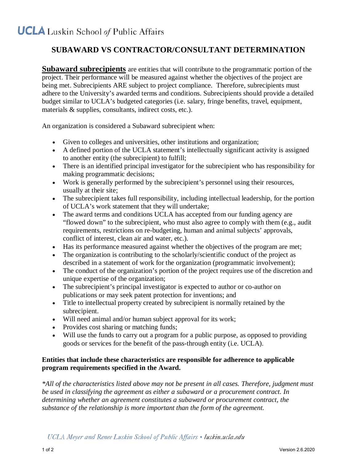## **SUBAWARD VS CONTRACTOR/CONSULTANT DETERMINATION**

**Subaward subrecipients** are entities that will contribute to the programmatic portion of the project. Their performance will be measured against whether the objectives of the project are being met. Subrecipients ARE subject to project compliance. Therefore, subrecipients must adhere to the University's awarded terms and conditions. Subrecipients should provide a detailed budget similar to UCLA's budgeted categories (i.e. salary, fringe benefits, travel, equipment, materials & supplies, consultants, indirect costs, etc.).

An organization is considered a Subaward subrecipient when:

- Given to colleges and universities, other institutions and organization;
- A defined portion of the UCLA statement's intellectually significant activity is assigned to another entity (the subrecipient) to fulfill;
- There is an identified principal investigator for the subrecipient who has responsibility for making programmatic decisions;
- Work is generally performed by the subrecipient's personnel using their resources, usually at their site;
- The subrecipient takes full responsibility, including intellectual leadership, for the portion of UCLA's work statement that they will undertake;
- The award terms and conditions UCLA has accepted from our funding agency are "flowed down" to the subrecipient, who must also agree to comply with them (e.g., audit requirements, restrictions on re-budgeting, human and animal subjects' approvals, conflict of interest, clean air and water, etc.).
- Has its performance measured against whether the objectives of the program are met;
- The organization is contributing to the scholarly/scientific conduct of the project as described in a statement of work for the organization (programmatic involvement);
- The conduct of the organization's portion of the project requires use of the discretion and unique expertise of the organization;
- The subrecipient's principal investigator is expected to author or co-author on publications or may seek patent protection for inventions; and
- Title to intellectual property created by subrecipient is normally retained by the subrecipient.
- Will need animal and/or human subject approval for its work;
- Provides cost sharing or matching funds;
- Will use the funds to carry out a program for a public purpose, as opposed to providing goods or services for the benefit of the pass-through entity (i.e. UCLA).

## **Entities that include these characteristics are responsible for adherence to applicable program requirements specified in the Award.**

*\*All of the characteristics listed above may not be present in all cases. Therefore, judgment must be used in classifying the agreement as either a subaward or a procurement contract. In determining whether an agreement constitutes a subaward or procurement contract, the substance of the relationship is more important than the form of the agreement.*